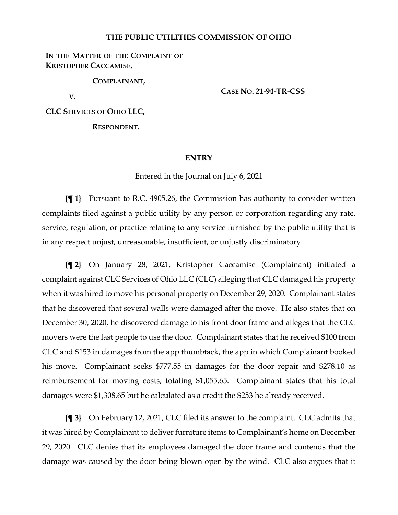#### **THE PUBLIC UTILITIES COMMISSION OF OHIO**

### IN THE MATTER OF THE COMPLAINT OF **KRISTOPHER CACCAMISE,**

**COMPLAINANT,**

**V.**

**CASE NO. 21-94-TR-CSS**

**CLC SERVICES OF OHIO LLC,**

**RESPONDENT.**

#### **ENTRY**

Entered in the Journal on July 6, 2021

**{¶ 1}** Pursuant to R.C. 4905.26, the Commission has authority to consider written complaints filed against a public utility by any person or corporation regarding any rate, service, regulation, or practice relating to any service furnished by the public utility that is in any respect unjust, unreasonable, insufficient, or unjustly discriminatory.

**{¶ 2}** On January 28, 2021, Kristopher Caccamise (Complainant) initiated a complaint against CLC Services of Ohio LLC (CLC) alleging that CLC damaged his property when it was hired to move his personal property on December 29, 2020. Complainant states that he discovered that several walls were damaged after the move. He also states that on December 30, 2020, he discovered damage to his front door frame and alleges that the CLC movers were the last people to use the door. Complainant states that he received \$100 from CLC and \$153 in damages from the app thumbtack, the app in which Complainant booked his move. Complainant seeks \$777.55 in damages for the door repair and \$278.10 as reimbursement for moving costs, totaling \$1,055.65. Complainant states that his total damages were \$1,308.65 but he calculated as a credit the \$253 he already received.

**{¶ 3}** On February 12, 2021, CLC filed its answer to the complaint. CLC admits that it was hired by Complainant to deliver furniture items to Complainant's home on December 29, 2020. CLC denies that its employees damaged the door frame and contends that the damage was caused by the door being blown open by the wind. CLC also argues that it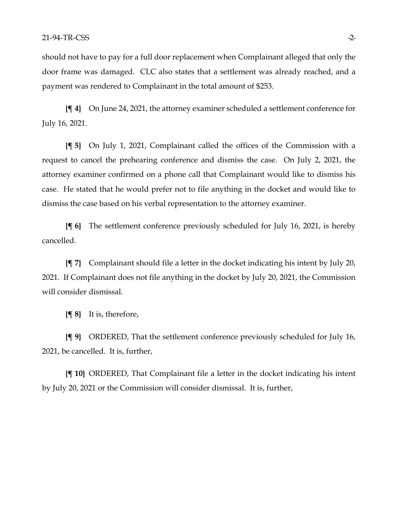should not have to pay for a full door replacement when Complainant alleged that only the door frame was damaged. CLC also states that a settlement was already reached, and a payment was rendered to Complainant in the total amount of \$253.

**{¶ 4}** On June 24, 2021, the attorney examiner scheduled a settlement conference for July 16, 2021.

**{¶ 5}** On July 1, 2021, Complainant called the offices of the Commission with a request to cancel the prehearing conference and dismiss the case. On July 2, 2021, the attorney examiner confirmed on a phone call that Complainant would like to dismiss his case. He stated that he would prefer not to file anything in the docket and would like to dismiss the case based on his verbal representation to the attorney examiner.

**{¶ 6}** The settlement conference previously scheduled for July 16, 2021, is hereby cancelled.

**{¶ 7}** Complainant should file a letter in the docket indicating his intent by July 20, 2021. If Complainant does not file anything in the docket by July 20, 2021, the Commission will consider dismissal.

**{¶ 8}** It is, therefore,

**{¶ 9}** ORDERED, That the settlement conference previously scheduled for July 16, 2021, be cancelled. It is, further,

**{¶ 10}** ORDERED, That Complainant file a letter in the docket indicating his intent by July 20, 2021 or the Commission will consider dismissal. It is, further,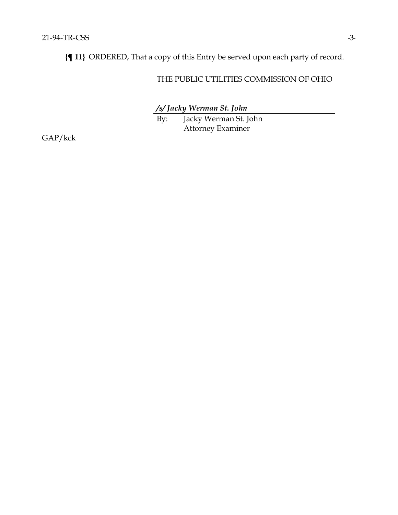**{¶ 11}** ORDERED, That a copy of this Entry be served upon each party of record.

## THE PUBLIC UTILITIES COMMISSION OF OHIO

*/s/ Jacky Werman St. John*

By: Jacky Werman St. John Attorney Examiner

GAP/kck